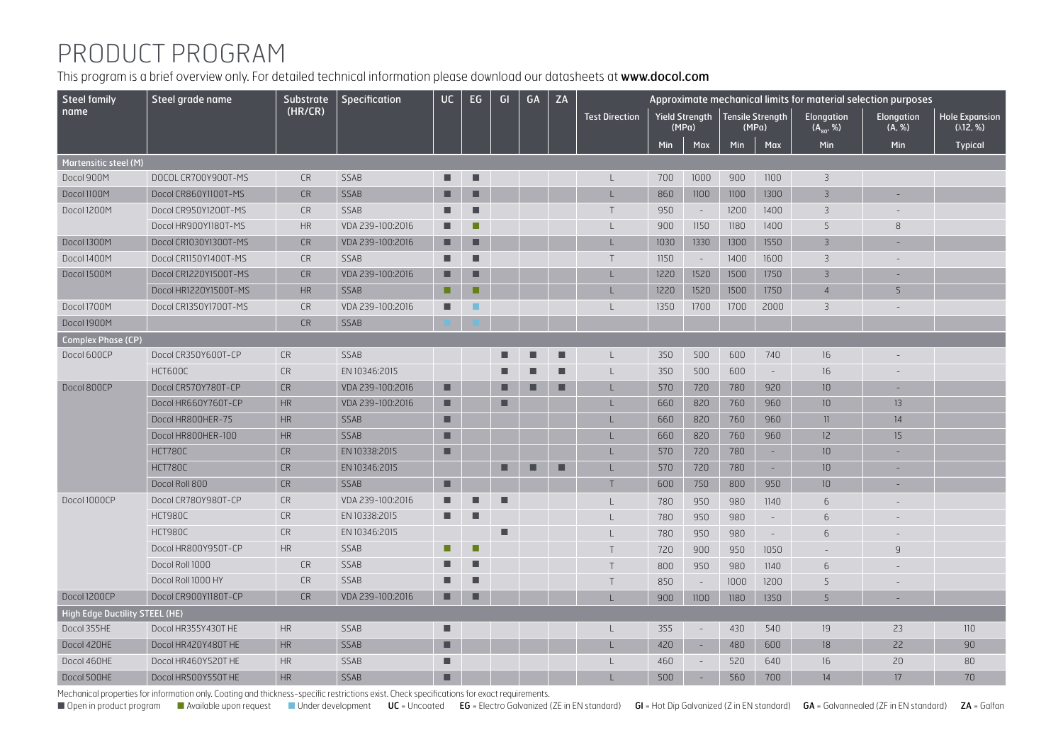## PRODUCT PROGRAM

This program is a brief overview only. For detailed technical information please download our datasheets at www.docol.com

| <b>Steel family</b>                   | Steel grade name      | Substrate | Specification    | <b>UC</b> | EG | GI | GA | ZA |                       | Approximate mechanical limits for material selection purposes |                |                           |                          |                             |                          |                                            |  |
|---------------------------------------|-----------------------|-----------|------------------|-----------|----|----|----|----|-----------------------|---------------------------------------------------------------|----------------|---------------------------|--------------------------|-----------------------------|--------------------------|--------------------------------------------|--|
| name                                  |                       | (HR/CR)   |                  |           |    |    |    |    | <b>Test Direction</b> | (MPa)                                                         | Yield Strength | Tensile Strength<br>(MPa) |                          | Elongation<br>$(A_{80}, %)$ | Elongation<br>(A, %)     | <b>Hole Expansion</b><br>$(\lambda$ 12, %) |  |
|                                       |                       |           |                  |           |    |    |    |    |                       | Min                                                           | Max            | <b>Min</b>                | Max                      | Min                         | Min                      | <b>Typical</b>                             |  |
| Martensitic steel (M)                 |                       |           |                  |           |    |    |    |    |                       |                                                               |                |                           |                          |                             |                          |                                            |  |
| Docol 900M                            | DOCOL CR700Y900T-MS   | <b>CR</b> | SSAB             | ٠         | п  |    |    |    |                       | 700                                                           | 1000           | 900                       | 1100                     | 3                           |                          |                                            |  |
| Docol II00M                           | Docol CR860Y1100T-MS  | <b>CR</b> | SSAB             | ■         | п  |    |    |    |                       | 860                                                           | 1100           | 1100                      | 1300                     | $\overline{3}$              | ÷,                       |                                            |  |
| Docol 1200M                           | Docol CR950Y1200T-MS  | <b>CR</b> | SSAB             |           | п  |    |    |    | $\top$                | 950                                                           | $\sim$         | 1200                      | 1400                     | $\overline{3}$              |                          |                                            |  |
|                                       | Docol HR900Y1180T-MS  | HR        | VDA 239-100:2016 |           | п  |    |    |    |                       | 900                                                           | 1150           | 1180                      | 1400                     | 5                           | 8                        |                                            |  |
| Docol 1300M                           | Docol CR1030Y1300T-MS | <b>CR</b> | VDA 239-100:2016 | ■         | п  |    |    |    |                       | 1030                                                          | 1330           | 1300                      | 1550                     | $\overline{3}$              |                          |                                            |  |
| Docol 1400M                           | Docol CR1150Y1400T-MS | <b>CR</b> | SSAB             | ■         | ■  |    |    |    | T                     | 1150                                                          | $\sim$         | 1400                      | 1600                     | $\overline{3}$              |                          |                                            |  |
| Docol 1500M                           | Docol CR1220Y1500T-MS | <b>CR</b> | VDA 239-100:2016 | ■         | г  |    |    |    |                       | 1220                                                          | 1520           | 1500                      | 1750                     | 3                           |                          |                                            |  |
|                                       | Docol HR1220Y1500T-MS | HR        | SSAB             | п         | г  |    |    |    |                       | 1220                                                          | 1520           | 1500                      | 1750                     | $\overline{4}$              | 5                        |                                            |  |
| Docol 1700M                           | Docol CR1350Y1700T-MS | <b>CR</b> | VDA 239-100:2016 | ■         | ▬  |    |    |    |                       | 1350                                                          | 1700           | 1700                      | 2000                     | 3                           |                          |                                            |  |
| Docol 1900M                           |                       | <b>CR</b> | SSAB             |           |    |    |    |    |                       |                                                               |                |                           |                          |                             |                          |                                            |  |
| <b>Complex Phase (CP)</b>             |                       |           |                  |           |    |    |    |    |                       |                                                               |                |                           |                          |                             |                          |                                            |  |
| Docol 600CP                           | Docol CR350Y600T-CP   | CR        | SSAB             |           |    |    |    |    |                       | 350                                                           | 500            | 600                       | 740                      | 16                          |                          |                                            |  |
|                                       | HCT600C               | <b>CR</b> | EN 10346:2015    |           |    |    |    |    |                       | 350                                                           | 500            | 600                       | $\sim$                   | 16                          |                          |                                            |  |
| Docol 800CP                           | Docol CR570Y780T-CP   | <b>CR</b> | VDA 239-100:2016 | п         |    | г  |    |    |                       | 570                                                           | 720            | 780                       | 920                      | 10 <sup>°</sup>             | $\sim$                   |                                            |  |
|                                       | Docol HR660Y760T-CP   | HR        | VDA 239-100:2016 | ■         |    | г  |    |    |                       | 660                                                           | 820            | 760                       | 960                      | 10 <sup>°</sup>             | 13                       |                                            |  |
|                                       | Docol HR800HER-75     | <b>HR</b> | SSAB             | п         |    |    |    |    |                       | 660                                                           | 820            | 760                       | 960                      | 11                          | 14                       |                                            |  |
|                                       | Docol HR800HER-100    | <b>HR</b> | SSAB             | ■         |    |    |    |    |                       | 660                                                           | 820            | 760                       | 960                      | 12                          | 15                       |                                            |  |
|                                       | <b>HCT780C</b>        | <b>CR</b> | EN 10338:2015    | п         |    |    |    |    |                       | 570                                                           | 720            | 780                       | $\sim$                   | 10 <sup>°</sup>             |                          |                                            |  |
|                                       | <b>HCT780C</b>        | <b>CR</b> | EN 10346:2015    |           |    | ■  | ▬  | ■  |                       | 570                                                           | 720            | 780                       | $\sim$                   | 10 <sup>°</sup>             | $\overline{\phantom{a}}$ |                                            |  |
|                                       | Docol Roll 800        | <b>CR</b> | SSAB             | п         |    |    |    |    | Т                     | 600                                                           | 750            | 800                       | 950                      | 10 <sup>°</sup>             |                          |                                            |  |
| Docol 1000CP                          | Docol CR780Y980T-CP   | <b>CR</b> | VDA 239-100:2016 | ■         | ■  | ■  |    |    |                       | 780                                                           | 950            | 980                       | 1140                     | 6                           |                          |                                            |  |
|                                       | HCT980C               | <b>CR</b> | EN 10338:2015    | ▬         | ▬  |    |    |    |                       | 780                                                           | 950            | 980                       | $\overline{\phantom{a}}$ | 6                           |                          |                                            |  |
|                                       | HCT980C               | <b>CR</b> | EN 10346:2015    |           |    | г  |    |    |                       | 780                                                           | 950            | 980                       | $\sim$                   | 6                           |                          |                                            |  |
|                                       | Docol HR800Y950T-CP   | <b>HR</b> | SSAB             | п         | ■  |    |    |    | T                     | 720                                                           | 900            | 950                       | 1050                     |                             | $\mathbf{q}$             |                                            |  |
|                                       | Docol Roll 1000       | <b>CR</b> | SSAB             |           | ■  |    |    |    | T                     | 800                                                           | 950            | 980                       | 1140                     | 6                           |                          |                                            |  |
|                                       | Docol Roll 1000 HY    | <b>CR</b> | SSAB             | ▬         | ▬  |    |    |    | Т                     | 850                                                           | $\sim$         | 1000                      | 1200                     | 5                           |                          |                                            |  |
| Docol 1200CP                          | Docol CR900Y1180T-CP  | <b>CR</b> | VDA 239-100:2016 | п         | п  |    |    |    |                       | 900                                                           | 1100           | 1180                      | 1350                     | 5                           |                          |                                            |  |
| <b>High Edge Ductility STEEL (HE)</b> |                       |           |                  |           |    |    |    |    |                       |                                                               |                |                           |                          |                             |                          |                                            |  |
| Docol 355HE                           | Docol HR355Y430T HE   | <b>HR</b> | SSAB             | ■         |    |    |    |    | L                     | 355                                                           | $\sim$         | 430                       | 540                      | 19                          | 23                       | 110                                        |  |
| Docol 420HE                           | Docol HR420Y480T HE   | <b>HR</b> | SSAB             | п         |    |    |    |    |                       | 420                                                           | $\sim$         | 480                       | 600                      | 18                          | 22                       | 90                                         |  |
| Docol 460HE                           | Docol HR460Y520T HE   | <b>HR</b> | SSAB             | ■         |    |    |    |    |                       | 460                                                           |                | 520                       | 640                      | 16                          | 20                       | 80                                         |  |
| Docol 500HE                           | Docol HR500Y550T HE   | <b>HR</b> | SSAB             | п         |    |    |    |    |                       | 500                                                           |                | 560                       | 700                      | 14                          | 17                       | 70                                         |  |

Mechanical properties for information only. Coating and thickness-specific restrictions exist. Check specifications for exact requirements.

■ Open in product program ■ Available upon request ■ Under development UC = Uncoated EG = Electro Galvanized (ZE in EN standard) GI = Hot Dip Galvanized (Z in EN standard) GA = Galvannealed (ZF in EN standard) ZA = Galfan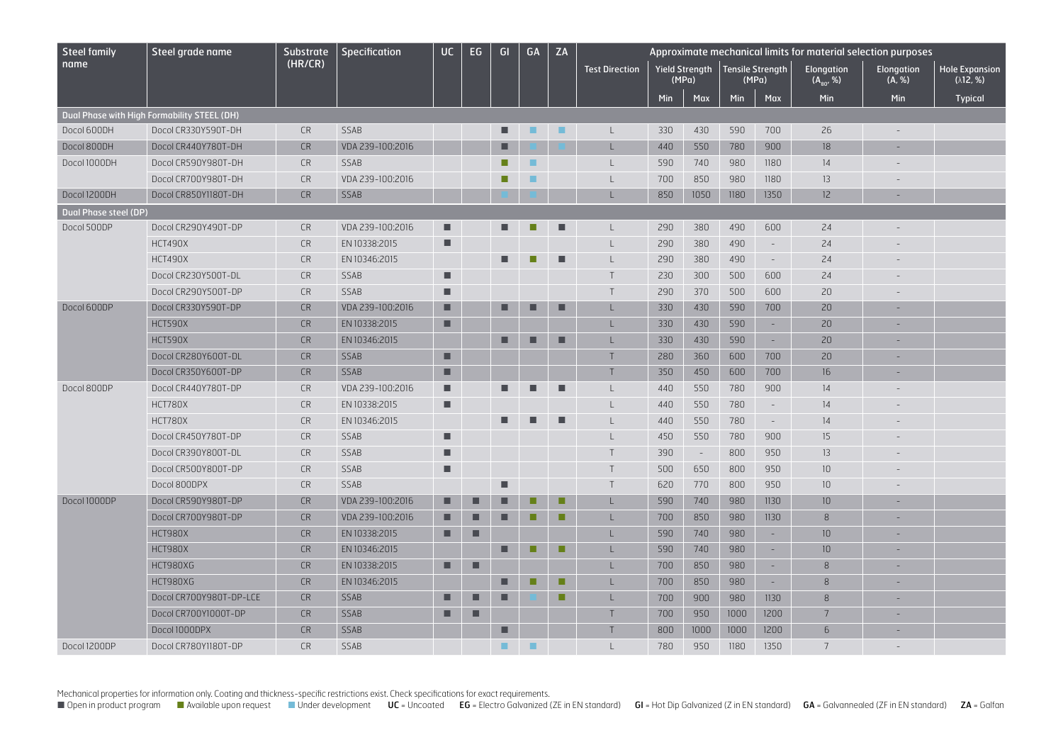| <b>Steel family</b>          | Steel grade name                            | <b>Substrate</b> | Specification    | <b>UC</b> | EG. | GI | GA | ZA |                       | Approximate mechanical limits for material selection purposes |                       |                           |                             |                              |                          |                                            |
|------------------------------|---------------------------------------------|------------------|------------------|-----------|-----|----|----|----|-----------------------|---------------------------------------------------------------|-----------------------|---------------------------|-----------------------------|------------------------------|--------------------------|--------------------------------------------|
| name                         |                                             | (HR/CR)          |                  |           |     |    |    |    | <b>Test Direction</b> | (MPa)                                                         | <b>Yield Strength</b> | Tensile Strength<br>(MPa) |                             | Elongation<br>$(A_{80}, \%)$ | Elongation<br>(A, %)     | <b>Hole Expansion</b><br>$(\lambda$ 12, %) |
|                              |                                             |                  |                  |           |     |    |    |    |                       | <b>Min</b>                                                    | Max                   | Min                       | Max                         | <b>Min</b>                   | Min                      | <b>Typical</b>                             |
|                              | Dual Phase with High Formability STEEL (DH) |                  |                  |           |     |    |    |    |                       |                                                               |                       |                           |                             |                              |                          |                                            |
| Docol 600DH                  | Docol CR330Y590T-DH                         | <b>CR</b>        | SSAB             |           |     | ■  | ٠  | ٠  | $\perp$               | 330                                                           | 430                   | 590                       | 700                         | 26                           |                          |                                            |
| Docol 800DH                  | Docol CR440Y780T-DH                         | <b>CR</b>        | VDA 239-100:2016 |           |     |    |    |    |                       | 440                                                           | 550                   | 780                       | 900                         | 18                           |                          |                                            |
| Docol 1000DH                 | Docol CR590Y980T-DH                         | <b>CR</b>        | SSAB             |           |     |    | ٠  |    |                       | 590                                                           | 740                   | 980                       | 1180                        | 14                           |                          |                                            |
|                              | Docol CR700Y980T-DH                         | <b>CR</b>        | VDA 239-100:2016 |           |     | m. | ٠  |    |                       | 700                                                           | 850                   | 980                       | 1180                        | 13                           |                          |                                            |
| Docol 1200DH                 | Docol CR850Y1180T-DH                        | <b>CR</b>        | <b>SSAB</b>      |           |     |    |    |    |                       | 850                                                           | 1050                  | 1180                      | 1350                        | 12                           | ÷                        |                                            |
| <b>Dual Phase steel (DP)</b> |                                             |                  |                  |           |     |    |    |    |                       |                                                               |                       |                           |                             |                              |                          |                                            |
| Docol 500DP                  | Docol CR290Y490T-DP                         | <b>CR</b>        | VDA 239-100:2016 | п         |     |    |    |    |                       | 290                                                           | 380                   | 490                       | 600                         | 24                           |                          |                                            |
|                              | HCT490X                                     | <b>CR</b>        | EN 10338:2015    | п         |     |    |    |    |                       | 290                                                           | 380                   | 490                       | $\bar{\phantom{a}}$         | 24                           |                          |                                            |
|                              | HCT490X                                     | <b>CR</b>        | EN 10346:2015    |           |     |    |    | ■  |                       | 290                                                           | 380                   | 490                       | $\overline{\phantom{a}}$    | 24                           |                          |                                            |
|                              | Docol CR230Y500T-DL                         | <b>CR</b>        | SSAB             | ш         |     |    |    |    | $\mathsf{T}$          | 230                                                           | 300                   | 500                       | 600                         | 24                           |                          |                                            |
|                              | Docol CR290Y500T-DP                         | <b>CR</b>        | <b>SSAB</b>      | п         |     |    |    |    | T                     | 290                                                           | 370                   | 500                       | 600                         | 20                           |                          |                                            |
| Docol 600DP                  | Docol CR330Y590T-DP                         | <b>CR</b>        | VDA 239-100:2016 | п         |     | ■  |    | ■  |                       | 330                                                           | 430                   | 590                       | 700                         | 20                           | ٠                        |                                            |
|                              | HCT590X                                     | <b>CR</b>        | EN 10338:2015    | п         |     |    |    |    |                       | 330                                                           | 430                   | 590                       | $\sim$                      | 20                           | $\overline{\phantom{a}}$ |                                            |
|                              | HCT590X                                     | <b>CR</b>        | EN 10346:2015    |           |     | ■  |    | п  |                       | 330                                                           | 430                   | 590                       | $\sim$                      | 20                           | $\overline{\phantom{a}}$ |                                            |
|                              | Docol CR280Y600T-DL                         | <b>CR</b>        | <b>SSAB</b>      | п         |     |    |    |    | T                     | 280                                                           | 360                   | 600                       | 700                         | 20                           | ÷,                       |                                            |
|                              | Docol CR350Y600T-DP                         | <b>CR</b>        | <b>SSAB</b>      | п         |     |    |    |    | T                     | 350                                                           | 450                   | 600                       | 700                         | 16                           | ÷,                       |                                            |
| Docol 800DP                  | Docol CR440Y780T-DP                         | <b>CR</b>        | VDA 239-100:2016 | п         |     |    |    | п  |                       | 440                                                           | 550                   | 780                       | 900                         | 14                           |                          |                                            |
|                              | HCT780X                                     | <b>CR</b>        | EN 10338:2015    | п         |     |    |    |    |                       | 440                                                           | 550                   | 780                       | $\mathcal{L}_{\mathcal{A}}$ | 14                           |                          |                                            |
|                              | HCT780X                                     | <b>CR</b>        | EN 10346:2015    |           |     |    |    |    |                       | 440                                                           | 550                   | 780                       | $\mathcal{L}_{\mathcal{A}}$ | 14                           |                          |                                            |
|                              | Docol CR450Y780T-DP                         | <b>CR</b>        | SSAB             | п         |     |    |    |    |                       | 450                                                           | 550                   | 780                       | 900                         | 15                           |                          |                                            |
|                              | Docol CR390Y800T-DL                         | <b>CR</b>        | SSAB             |           |     |    |    |    |                       | 390                                                           | $\sim$                | 800                       | 950                         | 13                           |                          |                                            |
|                              | Docol CR500Y800T-DP                         | <b>CR</b>        | <b>SSAB</b>      |           |     |    |    |    |                       | 500                                                           | 650                   | 800                       | 950                         | 10                           |                          |                                            |
|                              | Docol 800DPX                                | <b>CR</b>        | <b>SSAB</b>      |           |     |    |    |    | $\top$                | 620                                                           | 770                   | 800                       | 950                         | 10                           |                          |                                            |
| Docol 1000DP                 | Docol CR590Y980T-DP                         | <b>CR</b>        | VDA 239-100:2016 | ■         |     |    |    | п  | п.                    | 590                                                           | 740                   | 980                       | 1130                        | 10                           | $\overline{\phantom{a}}$ |                                            |
|                              | Docol CR700Y980T-DP                         | <b>CR</b>        | VDA 239-100:2016 | ■         | ■   | ■  | п  | п  |                       | 700                                                           | 850                   | 980                       | 1130                        | $\,8\,$                      |                          |                                            |
|                              | HCT980X                                     | <b>CR</b>        | EN 10338:2015    | ■         | ■   |    |    |    |                       | 590                                                           | 740                   | 980                       | $\sim$                      | 10                           | ٠                        |                                            |
|                              | HCT980X                                     | <b>CR</b>        | EN 10346:2015    |           |     | ■  | п  | п  |                       | 590                                                           | 740                   | 980                       | $\sim$                      | 10                           | $\overline{\phantom{a}}$ |                                            |
|                              | HCT980XG                                    | <b>CR</b>        | EN 10338:2015    | ш         | ■   |    |    |    |                       | 700                                                           | 850                   | 980                       | $\sim$                      | 8                            | $\sim$                   |                                            |
|                              | HCT980XG                                    | <b>CR</b>        | EN 10346:2015    |           |     | ■  | п  | п  |                       | 700                                                           | 850                   | 980                       | $\sim$                      | 8                            | $\sim$                   |                                            |
|                              | Docol CR700Y980T-DP-LCE                     | <b>CR</b>        | SSAB             | п         | ■   | п  |    | п  |                       | 700                                                           | 900                   | 980                       | 1130                        | 8                            | ٠                        |                                            |
|                              | Docol CR700Y1000T-DP                        | <b>CR</b>        | SSAB             | п         | ■   |    |    |    | $\mathsf{T}$          | 700                                                           | 950                   | 1000                      | 1200                        | $\overline{7}$               | ٠                        |                                            |
|                              | Docol 1000DPX                               | <b>CR</b>        | SSAB             |           |     | п  |    |    | $\mathsf{T}$          | 800                                                           | 1000                  | 1000                      | 1200                        | $6\overline{6}$              |                          |                                            |
| Docol 1200DP                 | Docol CR780Y1180T-DP                        | <b>CR</b>        | SSAB             |           |     | ٠  | ٠  |    |                       | 780                                                           | 950                   | 1180                      | 1350                        | 7                            |                          |                                            |

Mechanical properties for information only. Coating and thickness-specific restrictions exist. Check specifications for exact requirements.

■ Open in product program ■ Available upon request ■ Under development UC = Uncoated EG = Electro Galvanized (ZE in EN standard) GI = Hot Dip Galvanized (Z in EN standard) GA = Galvannealed (ZF in EN standard) ZA = Galfan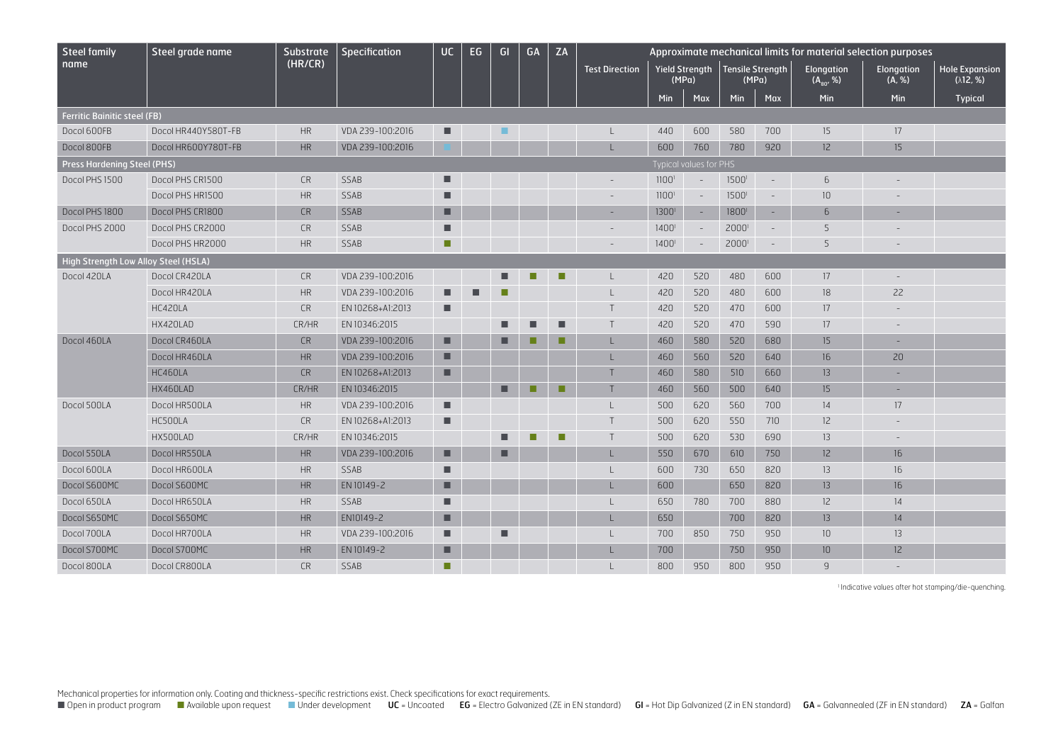| <b>Steel family</b>                  | Steel grade name    | <b>Substrate</b> | Specification    | <b>UC</b> | EG | GI | GA | ZA |                       | Approximate mechanical limits for material selection purposes |                         |                  |                          |                             |                          |                                            |  |
|--------------------------------------|---------------------|------------------|------------------|-----------|----|----|----|----|-----------------------|---------------------------------------------------------------|-------------------------|------------------|--------------------------|-----------------------------|--------------------------|--------------------------------------------|--|
| name                                 |                     | (HR/CR)          |                  |           |    |    |    |    | <b>Test Direction</b> |                                                               | Yield Strength<br>(MPa) | Tensile Strength | (MPa)                    | Elongation<br>$(A_{80}, %)$ | Elongation<br>(A, %)     | <b>Hole Expansion</b><br>$(\lambda$ 12, %) |  |
|                                      |                     |                  |                  |           |    |    |    |    |                       | Min                                                           | Max                     | Min              | Max                      | Min                         | Min                      | <b>Typical</b>                             |  |
| <b>Ferritic Bainitic steel (FB)</b>  |                     |                  |                  |           |    |    |    |    |                       |                                                               |                         |                  |                          |                             |                          |                                            |  |
| Docol 600FB                          | Docol HR440Y580T-FB | <b>HR</b>        | VDA 239-100:2016 | п         |    | ٠  |    |    |                       | 440                                                           | 600                     | 580              | 700                      | 15                          | 17                       |                                            |  |
| Docol 800FB                          | Docol HR600Y780T-FB | HR               | VDA 239-100:2016 |           |    |    |    |    |                       | 600                                                           | 760                     | 780              | 920                      | 12                          | 15 <sup>2</sup>          |                                            |  |
| <b>Press Hardening Steel (PHS)</b>   |                     |                  |                  |           |    |    |    |    |                       |                                                               | Typical values for PHS  |                  |                          |                             |                          |                                            |  |
| Docol PHS 1500                       | Docol PHS CR1500    | <b>CR</b>        | SSAB             | ■         |    |    |    |    |                       | 1100 <sup>1</sup>                                             |                         | 1500             | $\overline{\phantom{a}}$ | 6                           |                          |                                            |  |
|                                      | Docol PHS HR1500    | HR               | SSAB             | п         |    |    |    |    |                       | 1100 <sup>1</sup>                                             |                         | 1500             | $\equiv$                 | 10                          |                          |                                            |  |
| Docol PHS 1800                       | Docol PHS CR1800    | <b>CR</b>        | SSAB             | п         |    |    |    |    | ÷                     | 1300                                                          | $\sim$                  | 1800             | $\sim$                   | 6                           | $\sim$                   |                                            |  |
| Docol PHS 2000                       | Docol PHS CR2000    | <b>CR</b>        | SSAB             | ■         |    |    |    |    |                       | $1400^{\circ}$                                                |                         | 2000             | $\overline{\phantom{a}}$ | 5                           |                          |                                            |  |
|                                      | Docol PHS HR2000    | <b>HR</b>        | SSAB             | п         |    |    |    |    |                       | $1400^{\circ}$                                                |                         | 2000             | $\sim$                   | 5                           |                          |                                            |  |
| High Strength Low Alloy Steel (HSLA) |                     |                  |                  |           |    |    |    |    |                       |                                                               |                         |                  |                          |                             |                          |                                            |  |
| Docol 420LA                          | Docol CR420LA       | <b>CR</b>        | VDA 239-100:2016 |           |    |    | г  | п  |                       | 420                                                           | 520                     | 480              | 600                      | 17                          |                          |                                            |  |
|                                      | Docol HR420LA       | <b>HR</b>        | VDA 239-100:2016 | ■         |    |    |    |    |                       | 420                                                           | 520                     | 480              | 600                      | 18                          | 22                       |                                            |  |
|                                      | HC420LA             | <b>CR</b>        | EN 10268+A1:2013 | п         |    |    |    |    |                       | 420                                                           | 520                     | 470              | 600                      | 17                          |                          |                                            |  |
|                                      | HX420LAD            | CR/HR            | EN 10346:2015    |           |    |    | г  | г  | $\mathsf{T}$          | 420                                                           | 520                     | 470              | 590                      | 17                          | $\overline{\phantom{a}}$ |                                            |  |
| Docol 460LA                          | Docol CR460LA       | <b>CR</b>        | VDA 239-100:2016 | п         |    |    |    | п  |                       | 460                                                           | 580                     | 520              | 680                      | 15                          | $\sim$                   |                                            |  |
|                                      | Docol HR460LA       | HR               | VDA 239-100:2016 | ■         |    |    |    |    |                       | 460                                                           | 560                     | 520              | 640                      | 16                          | 20                       |                                            |  |
|                                      | HC460LA             | <b>CR</b>        | EN 10268+A1:2013 | п         |    |    |    |    |                       | 460                                                           | 580                     | 510              | 660                      | 13                          | $\sim$                   |                                            |  |
|                                      | HX460LAD            | CR/HR            | EN 10346:2015    |           |    | п  | П  | П  |                       | 460                                                           | 560                     | 500              | 640                      | 15                          |                          |                                            |  |
| Docol 500LA                          | Docol HR500LA       | <b>HR</b>        | VDA 239-100:2016 | п         |    |    |    |    |                       | 500                                                           | 620                     | 560              | 700                      | 14                          | 17                       |                                            |  |
|                                      | HC500LA             | <b>CR</b>        | EN 10268+A1:2013 | п         |    |    |    |    |                       | 500                                                           | 620                     | 550              | 710                      | 12                          |                          |                                            |  |
|                                      | HX500LAD            | CR/HR            | EN 10346:2015    |           |    |    | п  | г  | Τ                     | 500                                                           | 620                     | 530              | 690                      | 13                          |                          |                                            |  |
| Docol 550LA                          | Docol HR550LA       | <b>HR</b>        | VDA 239-100:2016 | ■         |    | п  |    |    |                       | 550                                                           | 670                     | 610              | 750                      | 12                          | 16                       |                                            |  |
| Docol 600LA                          | Docol HR600LA       | <b>HR</b>        | SSAB             | ■         |    |    |    |    |                       | 600                                                           | 730                     | 650              | 820                      | 13                          | 16                       |                                            |  |
| Docol S600MC                         | Docol S600MC        | HR               | EN 10149-2       | п         |    |    |    |    |                       | 600                                                           |                         | 650              | 820                      | 13                          | 16                       |                                            |  |
| Docol 650LA                          | Docol HR650LA       | HR               | SSAB             | п         |    |    |    |    |                       | 650                                                           | 780                     | 700              | 880                      | 12                          | 14                       |                                            |  |
| Docol S650MC                         | Docol S650MC        | <b>HR</b>        | EN10149-2        | ■         |    |    |    |    |                       | 650                                                           |                         | 700              | 820                      | 13                          | 14                       |                                            |  |
| Docol 700LA                          | Docol HR700LA       | <b>HR</b>        | VDA 239-100:2016 | ■         |    | Г  |    |    |                       | 700                                                           | 850                     | 750              | 950                      | 10                          | 13 <sup>°</sup>          |                                            |  |
| Docol S700MC                         | Docol S700MC        | <b>HR</b>        | EN 10149-2       | ■         |    |    |    |    |                       | 700                                                           |                         | 750              | 950                      | 10                          | 12 <sup>°</sup>          |                                            |  |
| Docol 800LA                          | Docol CR800LA       | <b>CR</b>        | <b>SSAB</b>      | п         |    |    |    |    |                       | 800                                                           | 950                     | 800              | 950                      | $\overline{9}$              |                          |                                            |  |

1 Indicative values after hot stamping/die-quenching.

Mechanical properties for information only. Coating and thickness-specific restrictions exist. Check specifications for exact requirements.

■ Open in product program ■ Available upon request ■ Under development UC = Uncoated EG = Electro Galvanized (ZE in EN standard) GI = Hot Dip Galvanized (Z in EN standard) GA = Galvannealed (ZF in EN standard) ZA = Galfan